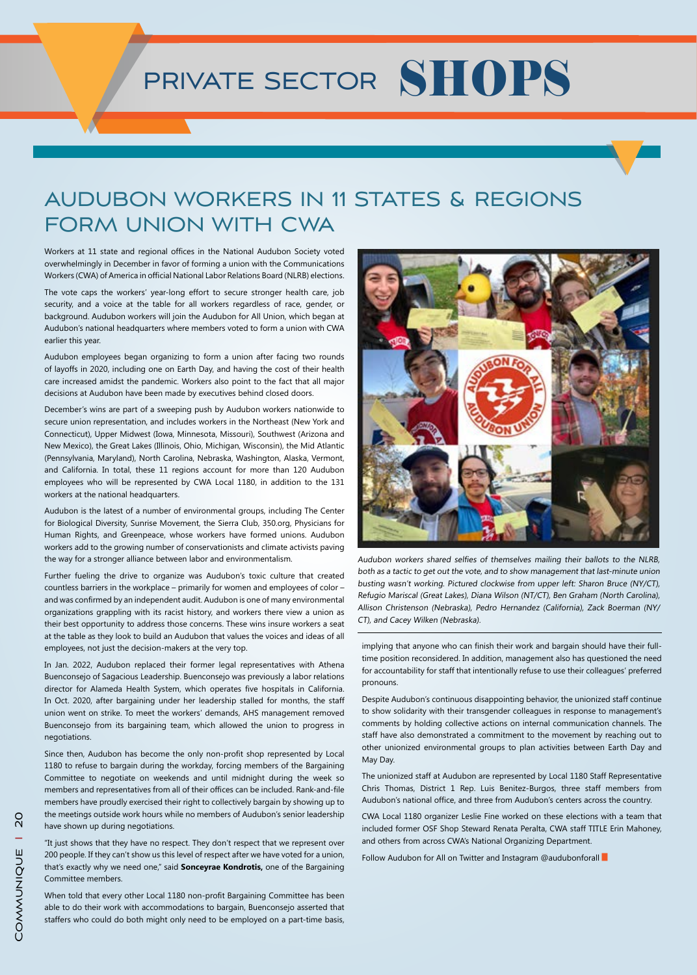## PRIVATE SECTOR SHOPS

## AUDUBON WORKERS IN 11 STATES & REGIONS FORM UNION WITH CWA

Workers at 11 state and regional offices in the National Audubon Society voted overwhelmingly in December in favor of forming a union with the Communications Workers (CWA) of America in official National Labor Relations Board (NLRB) elections.

The vote caps the workers' year-long effort to secure stronger health care, job security, and a voice at the table for all workers regardless of race, gender, or background. Audubon workers will join the Audubon for All Union, which began at Audubon's national headquarters where members voted to form a union with CWA earlier this year.

Audubon employees began organizing to form a union after facing two rounds of layoffs in 2020, including one on Earth Day, and having the cost of their health care increased amidst the pandemic. Workers also point to the fact that all major decisions at Audubon have been made by executives behind closed doors.

December's wins are part of a sweeping push by Audubon workers nationwide to secure union representation, and includes workers in the Northeast (New York and Connecticut), Upper Midwest (Iowa, Minnesota, Missouri), Southwest (Arizona and New Mexico), the Great Lakes (Illinois, Ohio, Michigan, Wisconsin), the Mid Atlantic (Pennsylvania, Maryland), North Carolina, Nebraska, Washington, Alaska, Vermont, and California. In total, these 11 regions account for more than 120 Audubon employees who will be represented by CWA Local 1180, in addition to the 131 workers at the national headquarters.

Audubon is the latest of a number of environmental groups, including The Center for Biological Diversity, Sunrise Movement, the Sierra Club, 350.org, Physicians for Human Rights, and Greenpeace, whose workers have formed unions. Audubon workers add to the growing number of conservationists and climate activists paving the way for a stronger alliance between labor and environmentalism.

Further fueling the drive to organize was Audubon's toxic culture that created countless barriers in the workplace – primarily for women and employees of color – and was confirmed by an independent audit. Audubon is one of many environmental organizations grappling with its racist history, and workers there view a union as their best opportunity to address those concerns. These wins insure workers a seat at the table as they look to build an Audubon that values the voices and ideas of all employees, not just the decision-makers at the very top.

In Jan. 2022, Audubon replaced their former legal representatives with Athena Buenconsejo of Sagacious Leadership. Buenconsejo was previously a labor relations director for Alameda Health System, which operates five hospitals in California. In Oct. 2020, after bargaining under her leadership stalled for months, the staff union went on strike. To meet the workers' demands, AHS management removed Buenconsejo from its bargaining team, which allowed the union to progress in negotiations.

Since then, Audubon has become the only non-profit shop represented by Local 1180 to refuse to bargain during the workday, forcing members of the Bargaining Committee to negotiate on weekends and until midnight during the week so members and representatives from all of their offices can be included. Rank-and-file members have proudly exercised their right to collectively bargain by showing up to the meetings outside work hours while no members of Audubon's senior leadership have shown up during negotiations.

"It just shows that they have no respect. They don't respect that we represent over 200 people. If they can't show us this level of respect after we have voted for a union, that's exactly why we need one," said **Sonceyrae Kondrotis,** one of the Bargaining Committee members.

When told that every other Local 1180 non-profit Bargaining Committee has been able to do their work with accommodations to bargain, Buenconsejo asserted that staffers who could do both might only need to be employed on a part-time basis,



Audubon workers shared selfies of themselves mailing their ballots to the NLRB, both as a tactic to get out the vote, and to show management that last-minute union busting wasn't working. Pictured clockwise from upper left: Sharon Bruce (NY/CT), Refugio Mariscal (Great Lakes), Diana Wilson (NT/CT), Ben Graham (North Carolina), Allison Christenson (Nebraska), Pedro Hernandez (California), Zack Boerman (NY/ CT), and Cacey Wilken (Nebraska).

implying that anyone who can finish their work and bargain should have their fulltime position reconsidered. In addition, management also has questioned the need for accountability for staff that intentionally refuse to use their colleagues' preferred pronouns.

Despite Audubon's continuous disappointing behavior, the unionized staff continue to show solidarity with their transgender colleagues in response to management's comments by holding collective actions on internal communication channels. The staff have also demonstrated a commitment to the movement by reaching out to other unionized environmental groups to plan activities between Earth Day and May Day.

The unionized staff at Audubon are represented by Local 1180 Staff Representative Chris Thomas, District 1 Rep. Luis Benitez-Burgos, three staff members from Audubon's national office, and three from Audubon's centers across the country.

CWA Local 1180 organizer Leslie Fine worked on these elections with a team that included former OSF Shop Steward Renata Peralta, CWA staff TITLE Erin Mahoney, and others from across CWA's National Organizing Department.

Follow Audubon for All on Twitter and Instagram @audubonforall